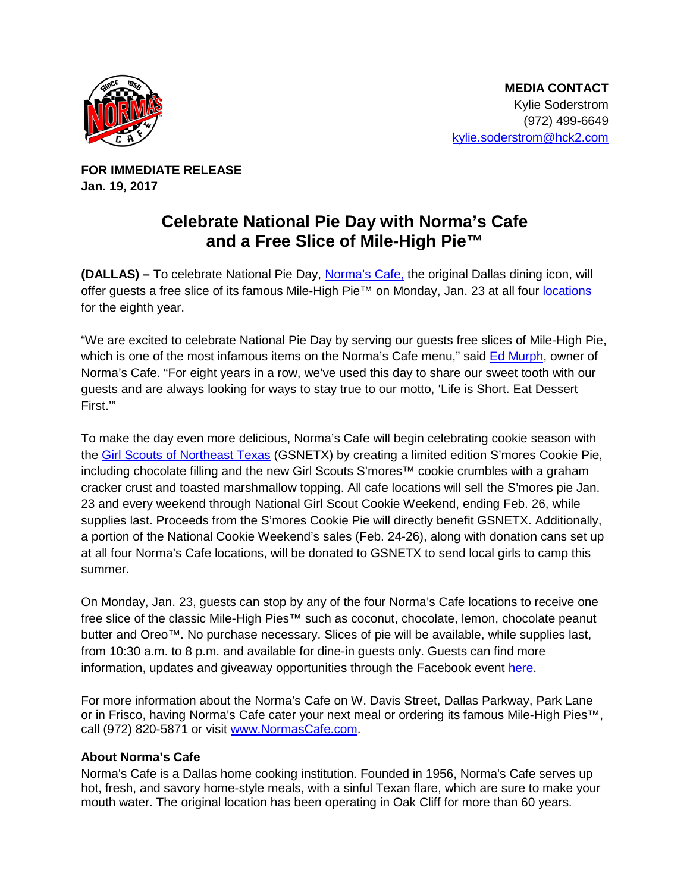

**FOR IMMEDIATE RELEASE Jan. 19, 2017** 

## **Celebrate National Pie Day with Norma's Cafe and a Free Slice of Mile-High Pie™**

**(DALLAS) –** To celebrate National Pie Day, [Norma's Cafe,](http://normascafe.com/) the original Dallas dining icon, will offer guests a free slice of its famous Mile-High Pie™ on Monday, Jan. 23 at all four [locations](http://normascafe.com/locations/) for the eighth year.

"We are excited to celebrate National Pie Day by serving our guests free slices of Mile-High Pie, which is one of the most infamous items on the Norma's Cafe menu," said [Ed Murph,](http://www.normascafe.com/about/) owner of Norma's Cafe. "For eight years in a row, we've used this day to share our sweet tooth with our guests and are always looking for ways to stay true to our motto, 'Life is Short. Eat Dessert First."

To make the day even more delicious, Norma's Cafe will begin celebrating cookie season with the [Girl Scouts of Northeast Texas](http://www.gsnetx.org/) (GSNETX) by creating a limited edition S'mores Cookie Pie, including chocolate filling and the new Girl Scouts S'mores™ cookie crumbles with a graham cracker crust and toasted marshmallow topping. All cafe locations will sell the S'mores pie Jan. 23 and every weekend through National Girl Scout Cookie Weekend, ending Feb. 26, while supplies last. Proceeds from the S'mores Cookie Pie will directly benefit GSNETX. Additionally, a portion of the National Cookie Weekend's sales (Feb. 24-26), along with donation cans set up at all four Norma's Cafe locations, will be donated to GSNETX to send local girls to camp this summer.

On Monday, Jan. 23, guests can stop by any of the four Norma's Cafe locations to receive one free slice of the classic Mile-High Pies™ such as coconut, chocolate, lemon, chocolate peanut butter and Oreo™. No purchase necessary. Slices of pie will be available, while supplies last, from 10:30 a.m. to 8 p.m. and available for dine-in guests only. Guests can find more information, updates and giveaway opportunities through the Facebook event [here.](https://www.facebook.com/events/227540181028670/)

For more information about the Norma's Cafe on W. Davis Street, Dallas Parkway, Park Lane or in Frisco, having Norma's Cafe cater your next meal or ordering its famous Mile-High Pies™, call (972) 820-5871 or visit [www.NormasCafe.com.](http://www.normascafe.com/)

## **About Norma's Cafe**

Norma's Cafe is a Dallas home cooking institution. Founded in 1956, Norma's Cafe serves up hot, fresh, and savory home-style meals, with a sinful Texan flare, which are sure to make your mouth water. The original location has been operating in Oak Cliff for more than 60 years.